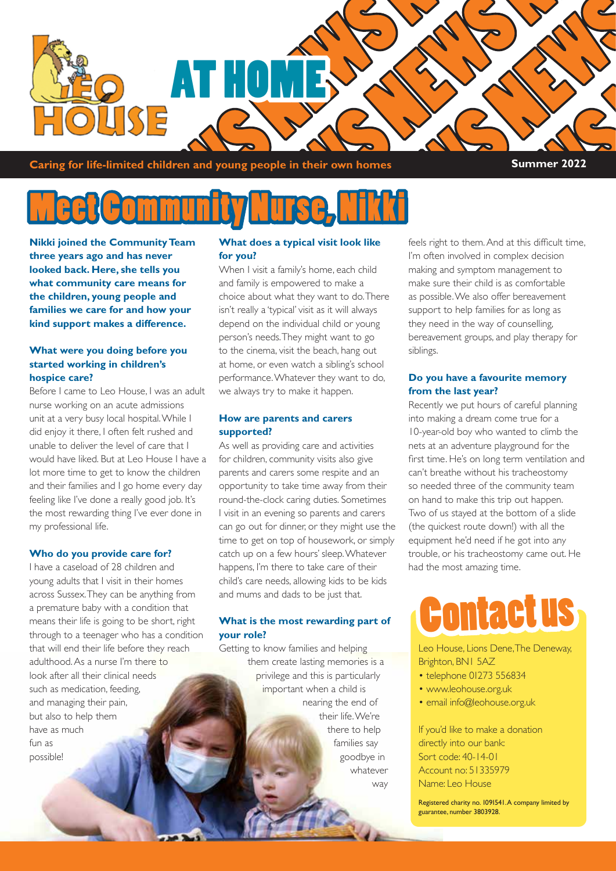

**Caring for life-limited children and young people in their own homes Summer 2022** 

### Meet Community Nurse, Nikki

**Nikki joined the Community Team three years ago and has never looked back. Here, she tells you what community care means for the children, young people and families we care for and how your kind support makes a difference.** 

#### **What were you doing before you started working in children's hospice care?**

Before I came to Leo House, I was an adult nurse working on an acute admissions unit at a very busy local hospital. While I did enjoy it there, I often felt rushed and unable to deliver the level of care that I would have liked. But at Leo House I have a lot more time to get to know the children and their families and I go home every day feeling like I've done a really good job. It's the most rewarding thing I've ever done in my professional life.

#### **Who do you provide care for?**

I have a caseload of 28 children and young adults that I visit in their homes across Sussex. They can be anything from a premature baby with a condition that means their life is going to be short, right through to a teenager who has a condition that will end their life before they reach adulthood. As a nurse I'm there to look after all their clinical needs such as medication, feeding, and managing their pain, but also to help them have as much fun as possible!

#### **What does a typical visit look like for you?**

When I visit a family's home, each child and family is empowered to make a choice about what they want to do. There isn't really a 'typical' visit as it will always depend on the individual child or young person's needs. They might want to go to the cinema, visit the beach, hang out at home, or even watch a sibling's school performance. Whatever they want to do, we always try to make it happen.

#### **How are parents and carers supported?**

As well as providing care and activities for children, community visits also give parents and carers some respite and an opportunity to take time away from their round-the-clock caring duties. Sometimes I visit in an evening so parents and carers can go out for dinner, or they might use the time to get on top of housework, or simply catch up on a few hours' sleep. Whatever happens, I'm there to take care of their child's care needs, allowing kids to be kids and mums and dads to be just that.

#### **What is the most rewarding part of your role?**

Getting to know families and helping them create lasting memories is a privilege and this is particularly important when a child is nearing the end of their life. We're there to help families say goodbye in whatever way feels right to them. And at this difficult time, I'm often involved in complex decision making and symptom management to make sure their child is as comfortable as possible. We also offer bereavement support to help families for as long as they need in the way of counselling, bereavement groups, and play therapy for siblings.

#### **Do you have a favourite memory from the last year?**

Recently we put hours of careful planning into making a dream come true for a 10-year-old boy who wanted to climb the nets at an adventure playground for the first time. He's on long term ventilation and can't breathe without his tracheostomy so needed three of the community team on hand to make this trip out happen. Two of us stayed at the bottom of a slide (the quickest route down!) with all the equipment he'd need if he got into any trouble, or his tracheostomy came out. He had the most amazing time.

## Contact us

Leo House, Lions Dene, The Deneway, Brighton, BN1 5AZ

- telephone 01273 556834
- www.leohouse.org.uk
- email info@leohouse.org.uk

If you'd like to make a donation directly into our bank: Sort code: 40-14-01 Account no: 51335979 Name: Leo House

Registered charity no. 1091541. A company limited by guarantee, number 3803928.